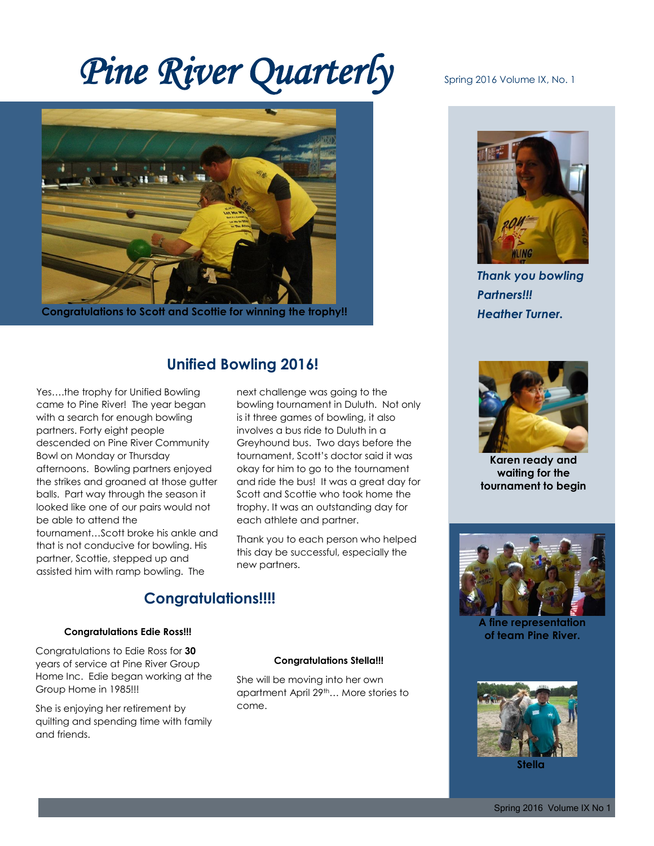# **Pine River Quarterly** Spring 2016 Volume IX, No. 1



**Unified Bowling 2016!**

Yes….the trophy for Unified Bowling came to Pine River! The year began with a search for enough bowling partners. Forty eight people descended on Pine River Community Bowl on Monday or Thursday afternoons. Bowling partners enjoyed the strikes and groaned at those gutter balls. Part way through the season it looked like one of our pairs would not be able to attend the tournament…Scott broke his ankle and that is not conducive for bowling. His partner, Scottie, stepped up and assisted him with ramp bowling. The

next challenge was going to the bowling tournament in Duluth. Not only is it three games of bowling, it also involves a bus ride to Duluth in a Greyhound bus. Two days before the tournament, Scott's doctor said it was okay for him to go to the tournament and ride the bus! It was a great day for Scott and Scottie who took home the trophy. It was an outstanding day for each athlete and partner.

Thank you to each person who helped this day be successful, especially the new partners.

# **Congratulations!!!!**

### **Congratulations Edie Ross!!!**

Congratulations to Edie Ross for **30** years of service at Pine River Group Home Inc. Edie began working at the Group Home in 1985!!!

She is enjoying her retirement by quilting and spending time with family and friends.

### **Congratulations Stella!!!**

She will be moving into her own apartment April 29<sup>th</sup>... More stories to come.



*Thank you bowling Partners!!! Heather Turner.*



**Karen ready and waiting for the tournament to begin**



**A fine representation of team Pine River.** 



**Stella**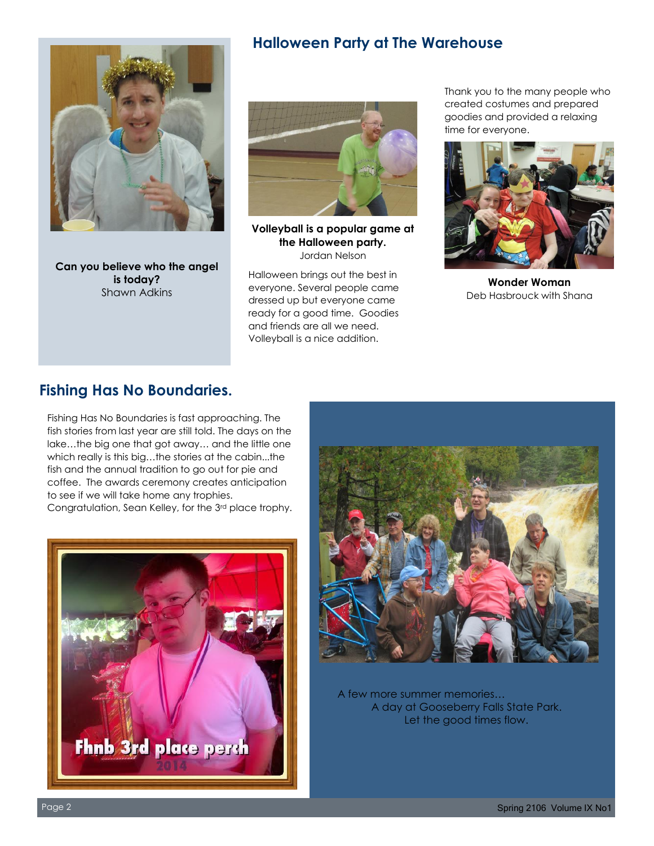



**Can you believe who the angel is today?** Shawn Adkins



**Volleyball is a popular game at the Halloween party.** Jordan Nelson

Halloween brings out the best in everyone. Several people came dressed up but everyone came ready for a good time. Goodies and friends are all we need. Volleyball is a nice addition.

Thank you to the many people who created costumes and prepared goodies and provided a relaxing time for everyone.



**Wonder Woman** Deb Hasbrouck with Shana

## **Fishing Has No Boundaries.**

Fishing Has No Boundaries is fast approaching. The fish stories from last year are still told. The days on the lake…the big one that got away… and the little one which really is this big…the stories at the cabin...the fish and the annual tradition to go out for pie and coffee. The awards ceremony creates anticipation to see if we will take home any trophies.

Congratulation, Sean Kelley, for the 3<sup>rd</sup> place trophy.





 A few more summer memories… A day at Gooseberry Falls State Park. Let the good times flow.